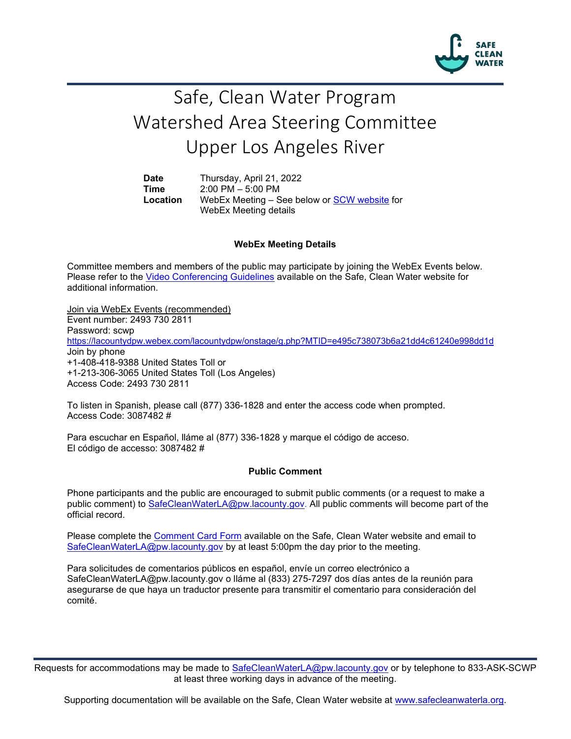

# Safe, Clean Water Program Watershed Area Steering Committee Upper Los Angeles River

**Date** Thursday, April 21, 2022 **Time** 2:00 PM – 5:00 PM<br>**Location** WebEx Meeting – S WebEx Meeting – See below or **SCW website** for WebEx Meeting details

## **WebEx Meeting Details**

Committee members and members of the public may participate by joining the WebEx Events below. Please refer to the [Video Conferencing Guidelines](https://safecleanwaterla.org/video-conference-guidelines/) available on the Safe, Clean Water website for additional information.

Join via WebEx Events (recommended) Event number: 2493 730 2811 Password: scwp <https://lacountydpw.webex.com/lacountydpw/onstage/g.php?MTID=e495c738073b6a21dd4c61240e998dd1d> Join by phone +1-408-418-9388 United States Toll or +1-213-306-3065 United States Toll (Los Angeles) Access Code: 2493 730 2811

To listen in Spanish, please call (877) 336-1828 and enter the access code when prompted. Access Code: 3087482 #

Para escuchar en Español, lláme al (877) 336-1828 y marque el código de acceso. El código de accesso: 3087482 #

#### **Public Comment**

Phone participants and the public are encouraged to submit public comments (or a request to make a public comment) to [SafeCleanWaterLA@pw.lacounty.gov.](mailto:SafeCleanWaterLA@pw.lacounty.gov) All public comments will become part of the official record.

Please complete the Comment [Card Form](https://safecleanwaterla.org/video-conference-guidelines/) available on the Safe, Clean Water website and email to [SafeCleanWaterLA@pw.lacounty.gov](mailto:SafeCleanWaterLA@pw.lacounty.gov) by at least 5:00pm the day prior to the meeting.

Para solicitudes de comentarios públicos en español, envíe un correo electrónico a SafeCleanWaterLA@pw.lacounty.gov o lláme al (833) 275-7297 dos días antes de la reunión para asegurarse de que haya un traductor presente para transmitir el comentario para consideración del comité.

Requests for accommodations may be made to [SafeCleanWaterLA@pw.lacounty.gov](mailto:SafeCleanWaterLA@pw.lacounty.gov) or by telephone to 833-ASK-SCWP at least three working days in advance of the meeting.